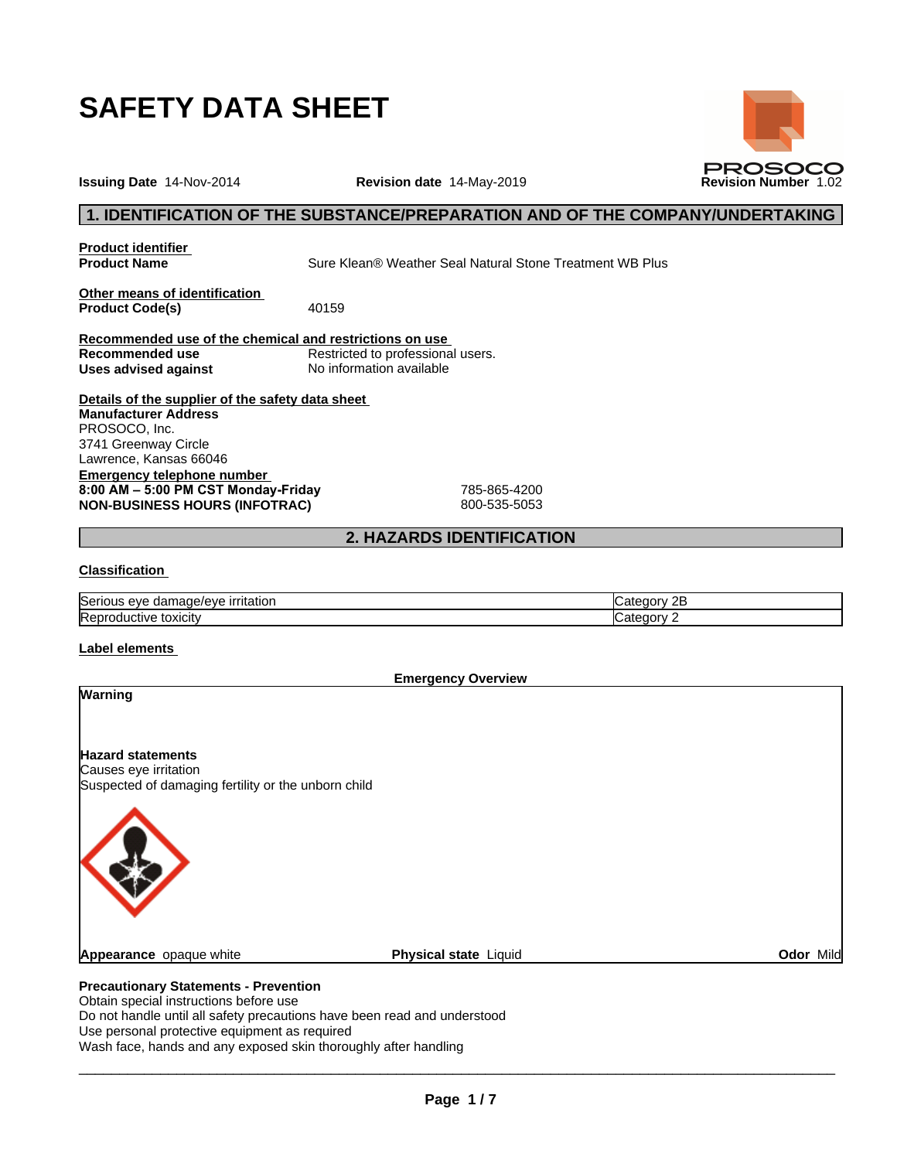

**Issuing Date** 14-Nov-2014 **Revision date** 14-May-2019 **Revision Number** 1.02

## **1. IDENTIFICATION OF THE SUBSTANCE/PREPARATION AND OF THE COMPANY/UNDERTAKING**

**Product identifier**

**Product Name** Sure Klean® Weather Seal Natural Stone Treatment WB Plus

**Other means of identification**<br>**Product Code(s)** 40159 **Product Code(s)** 

**Recommended use of the chemical and restrictions on use** Restricted to professional users.<br>No information available **Uses** advised against

**Details of the supplier of the safety data sheet Emergency telephone number 8:00AM–5:00PMCSTMonday-Friday** 785-865-4200 **NON-BUSINESS HOURS (INFOTRAC)** 800-535-5053 **Manufacturer Address** PROSOCO, Inc. 3741 Greenway Circle Lawrence, Kansas 66046

## **2. HAZARDS IDENTIFICATION**

## **Classification**

| <b>Seri</b><br>がん<br>----<br>ついし<br>πaτιor<br>$1 - 1$<br>- ก. ม. | -- |
|------------------------------------------------------------------|----|
| Rep<br><b>JXICIT</b><br>$.11V+$                                  | .  |

#### **Label elements**

**Emergency Overview**

**Precautionary Statements - Prevention Warning Hazard statements** Causes eye irritation Suspected of damaging fertility or the unborn child **Appearance** opaque white **Physical state** Liquid **Odor** Mild

# Obtain special instructions before use

Do not handle until all safety precautions have been read and understood Use personal protective equipment as required Wash face, hands and any exposed skin thoroughly after handling

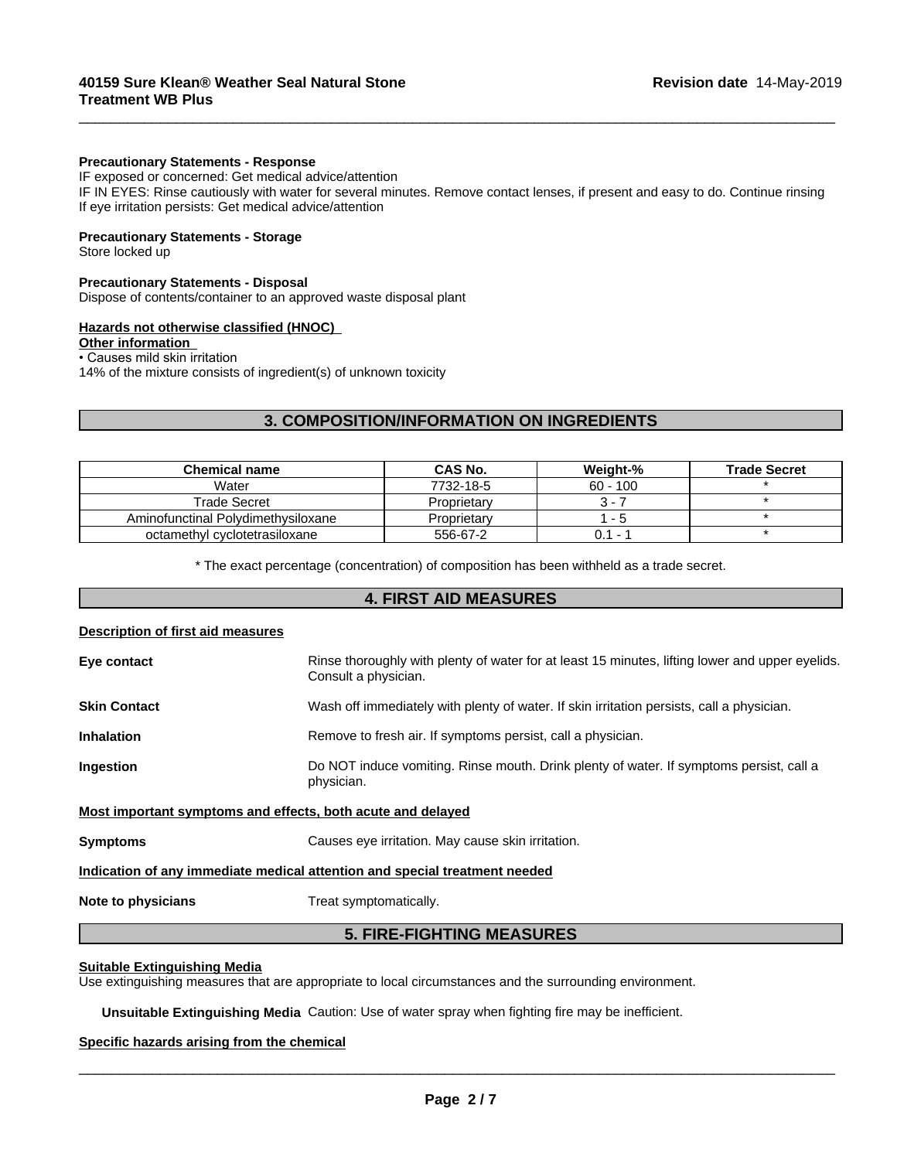#### **Precautionary Statements - Response**

IF exposed or concerned: Get medical advice/attention IF IN EYES: Rinse cautiously with water for several minutes. Remove contact lenses, if present and easy to do. Continue rinsing If eye irritation persists: Get medical advice/attention

 $\overline{\phantom{a}}$  ,  $\overline{\phantom{a}}$  ,  $\overline{\phantom{a}}$  ,  $\overline{\phantom{a}}$  ,  $\overline{\phantom{a}}$  ,  $\overline{\phantom{a}}$  ,  $\overline{\phantom{a}}$  ,  $\overline{\phantom{a}}$  ,  $\overline{\phantom{a}}$  ,  $\overline{\phantom{a}}$  ,  $\overline{\phantom{a}}$  ,  $\overline{\phantom{a}}$  ,  $\overline{\phantom{a}}$  ,  $\overline{\phantom{a}}$  ,  $\overline{\phantom{a}}$  ,  $\overline{\phantom{a}}$ 

## **Precautionary Statements - Storage**

Store locked up

#### **Precautionary Statements - Disposal**

Dispose of contents/container to an approved waste disposal plant

#### **Hazards not otherwise classified (HNOC)**

#### **Other information**

• Causes mild skin irritation

14% of the mixture consists of ingredient(s) of unknown toxicity

## **3. COMPOSITION/INFORMATION ON INGREDIENTS**

| <b>Chemical name</b>               | CAS No.     | Weight-%                 | <b>Trade Secret</b> |
|------------------------------------|-------------|--------------------------|---------------------|
| Water                              | 7732-18-5   | $60 - 100$               |                     |
| Trade Secret                       | Proprietary | $3 - i$                  |                     |
| Aminofunctinal Polydimethysiloxane | Proprietary | - 5                      |                     |
| octamethyl cyclotetrasiloxane      | 556-67-2    | $\overline{\phantom{0}}$ |                     |

\* The exact percentage (concentration) ofcomposition has been withheld as a trade secret.

## **4. FIRST AID MEASURES**

## **Description of first aid measures**

| Eye contact                                                                | Rinse thoroughly with plenty of water for at least 15 minutes, lifting lower and upper eyelids.<br>Consult a physician. |  |  |
|----------------------------------------------------------------------------|-------------------------------------------------------------------------------------------------------------------------|--|--|
| <b>Skin Contact</b>                                                        | Wash off immediately with plenty of water. If skin irritation persists, call a physician.                               |  |  |
| <b>Inhalation</b>                                                          | Remove to fresh air. If symptoms persist, call a physician.                                                             |  |  |
| Ingestion                                                                  | Do NOT induce vomiting. Rinse mouth. Drink plenty of water. If symptoms persist, call a<br>physician.                   |  |  |
| Most important symptoms and effects, both acute and delayed                |                                                                                                                         |  |  |
| <b>Symptoms</b>                                                            | Causes eye irritation. May cause skin irritation.                                                                       |  |  |
| Indication of any immediate medical attention and special treatment needed |                                                                                                                         |  |  |
| Note to physicians                                                         | Treat symptomatically.                                                                                                  |  |  |
|                                                                            |                                                                                                                         |  |  |

## **5. FIRE-FIGHTING MEASURES**

## **Suitable Extinguishing Media**

Use extinguishing measures that are appropriate to local circumstances and the surrounding environment.

**Unsuitable Extinguishing Media** Caution: Use of water spray when fighting fire may be inefficient.

## **Specific hazards arising from the chemical**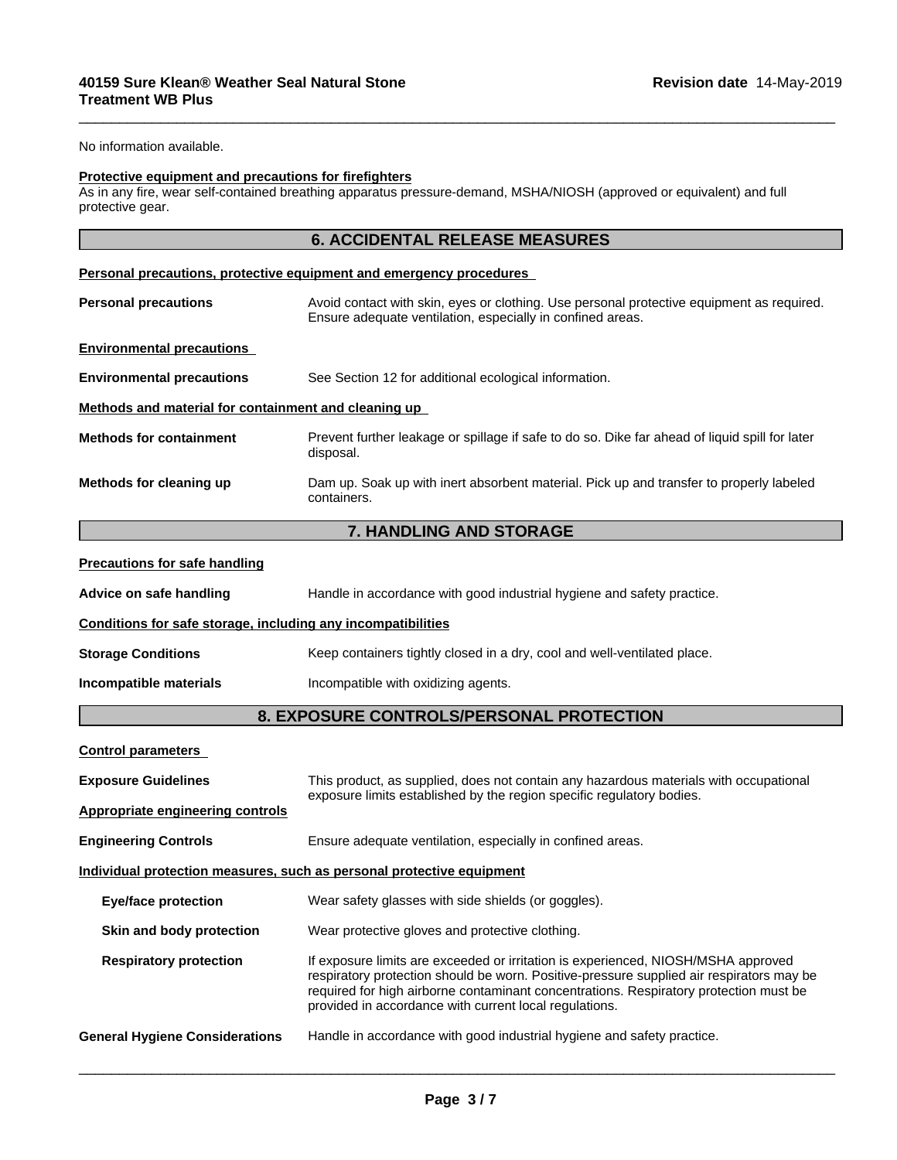No information available.

#### **Protective equipment and precautions for firefighters**

As in any fire, wear self-contained breathing apparatus pressure-demand, MSHA/NIOSH (approved or equivalent) and full protective gear.

|                                                              | <b>6. ACCIDENTAL RELEASE MEASURES</b>                                                                                                                                                                                                                                                                                            |
|--------------------------------------------------------------|----------------------------------------------------------------------------------------------------------------------------------------------------------------------------------------------------------------------------------------------------------------------------------------------------------------------------------|
|                                                              | Personal precautions, protective equipment and emergency procedures                                                                                                                                                                                                                                                              |
| <b>Personal precautions</b>                                  | Avoid contact with skin, eyes or clothing. Use personal protective equipment as required.<br>Ensure adequate ventilation, especially in confined areas.                                                                                                                                                                          |
| <b>Environmental precautions</b>                             |                                                                                                                                                                                                                                                                                                                                  |
| <b>Environmental precautions</b>                             | See Section 12 for additional ecological information.                                                                                                                                                                                                                                                                            |
| Methods and material for containment and cleaning up         |                                                                                                                                                                                                                                                                                                                                  |
| <b>Methods for containment</b>                               | Prevent further leakage or spillage if safe to do so. Dike far ahead of liquid spill for later<br>disposal.                                                                                                                                                                                                                      |
| Methods for cleaning up                                      | Dam up. Soak up with inert absorbent material. Pick up and transfer to properly labeled<br>containers.                                                                                                                                                                                                                           |
|                                                              | 7. HANDLING AND STORAGE                                                                                                                                                                                                                                                                                                          |
| <b>Precautions for safe handling</b>                         |                                                                                                                                                                                                                                                                                                                                  |
| Advice on safe handling                                      | Handle in accordance with good industrial hygiene and safety practice.                                                                                                                                                                                                                                                           |
| Conditions for safe storage, including any incompatibilities |                                                                                                                                                                                                                                                                                                                                  |
| <b>Storage Conditions</b>                                    | Keep containers tightly closed in a dry, cool and well-ventilated place.                                                                                                                                                                                                                                                         |
| Incompatible materials                                       | Incompatible with oxidizing agents.                                                                                                                                                                                                                                                                                              |
|                                                              | 8. EXPOSURE CONTROLS/PERSONAL PROTECTION                                                                                                                                                                                                                                                                                         |
| <b>Control parameters</b>                                    |                                                                                                                                                                                                                                                                                                                                  |
| <b>Exposure Guidelines</b>                                   | This product, as supplied, does not contain any hazardous materials with occupational                                                                                                                                                                                                                                            |
| <b>Appropriate engineering controls</b>                      | exposure limits established by the region specific regulatory bodies.                                                                                                                                                                                                                                                            |
| <b>Engineering Controls</b>                                  | Ensure adequate ventilation, especially in confined areas.                                                                                                                                                                                                                                                                       |
|                                                              | Individual protection measures, such as personal protective equipment                                                                                                                                                                                                                                                            |
| <b>Eye/face protection</b>                                   | Wear safety glasses with side shields (or goggles).                                                                                                                                                                                                                                                                              |
| Skin and body protection                                     | Wear protective gloves and protective clothing.                                                                                                                                                                                                                                                                                  |
| <b>Respiratory protection</b>                                | If exposure limits are exceeded or irritation is experienced, NIOSH/MSHA approved<br>respiratory protection should be worn. Positive-pressure supplied air respirators may be<br>required for high airborne contaminant concentrations. Respiratory protection must be<br>provided in accordance with current local regulations. |
| <b>General Hygiene Considerations</b>                        | Handle in accordance with good industrial hygiene and safety practice.                                                                                                                                                                                                                                                           |
|                                                              |                                                                                                                                                                                                                                                                                                                                  |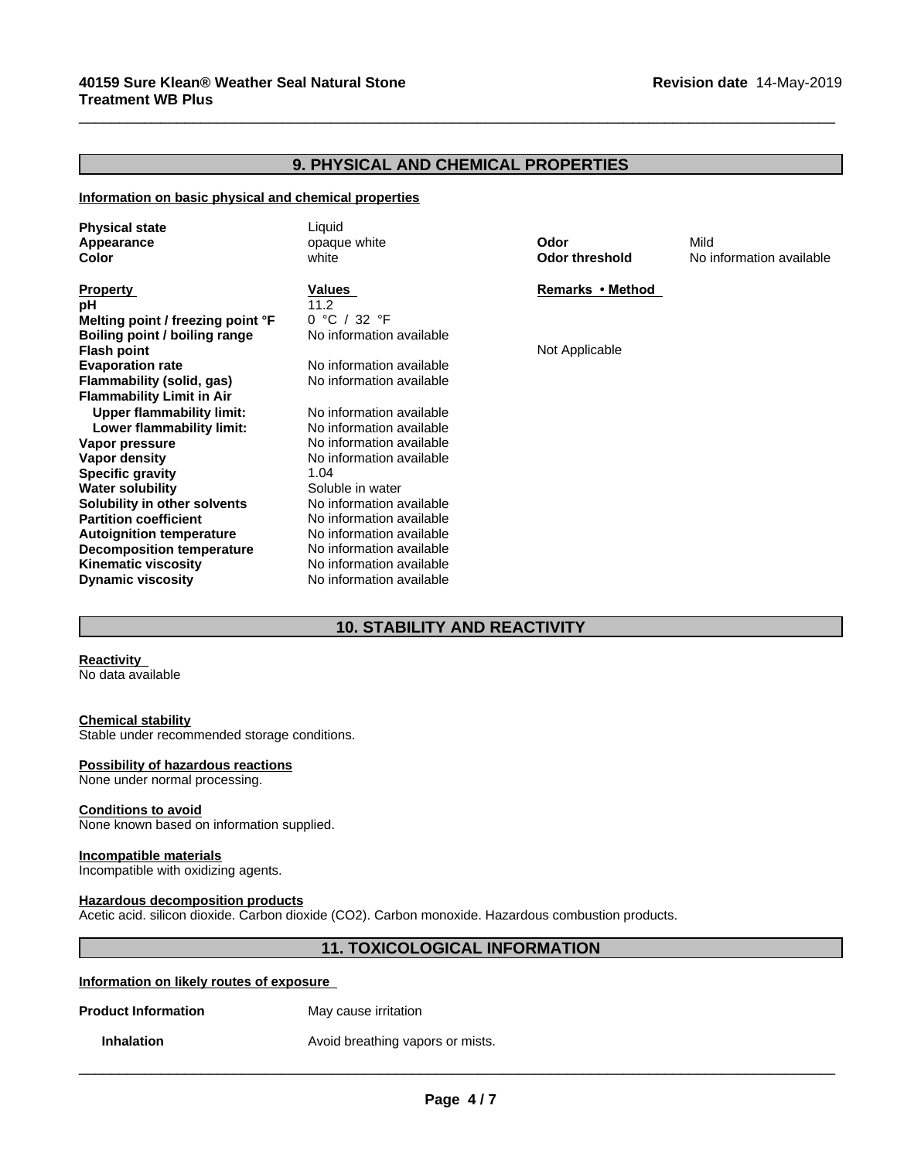## **9. PHYSICAL AND CHEMICAL PROPERTIES**

 $\overline{\phantom{a}}$  ,  $\overline{\phantom{a}}$  ,  $\overline{\phantom{a}}$  ,  $\overline{\phantom{a}}$  ,  $\overline{\phantom{a}}$  ,  $\overline{\phantom{a}}$  ,  $\overline{\phantom{a}}$  ,  $\overline{\phantom{a}}$  ,  $\overline{\phantom{a}}$  ,  $\overline{\phantom{a}}$  ,  $\overline{\phantom{a}}$  ,  $\overline{\phantom{a}}$  ,  $\overline{\phantom{a}}$  ,  $\overline{\phantom{a}}$  ,  $\overline{\phantom{a}}$  ,  $\overline{\phantom{a}}$ 

#### **Information on basic physical and chemical properties**

| Remarks • Method<br>Values<br><b>Property</b><br>11.2<br>0 °C / 32 °F<br>Melting point / freezing point °F<br>No information available<br>Boiling point / boiling range<br>Not Applicable<br><b>Flash point</b><br>No information available<br><b>Evaporation rate</b> |
|------------------------------------------------------------------------------------------------------------------------------------------------------------------------------------------------------------------------------------------------------------------------|
|                                                                                                                                                                                                                                                                        |
|                                                                                                                                                                                                                                                                        |
|                                                                                                                                                                                                                                                                        |
|                                                                                                                                                                                                                                                                        |
|                                                                                                                                                                                                                                                                        |
| No information available<br>Flammability (solid, gas)                                                                                                                                                                                                                  |
| <b>Flammability Limit in Air</b>                                                                                                                                                                                                                                       |
| <b>Upper flammability limit:</b><br>No information available                                                                                                                                                                                                           |
| No information available<br>Lower flammability limit:                                                                                                                                                                                                                  |
| No information available<br>Vapor pressure                                                                                                                                                                                                                             |
| No information available<br>Vapor density                                                                                                                                                                                                                              |
| <b>Specific gravity</b><br>1.04                                                                                                                                                                                                                                        |
| Soluble in water<br><b>Water solubility</b>                                                                                                                                                                                                                            |
| No information available<br>Solubility in other solvents                                                                                                                                                                                                               |
| <b>Partition coefficient</b><br>No information available                                                                                                                                                                                                               |
| No information available<br><b>Autoignition temperature</b>                                                                                                                                                                                                            |
| No information available<br><b>Decomposition temperature</b>                                                                                                                                                                                                           |
| No information available<br><b>Kinematic viscosity</b>                                                                                                                                                                                                                 |
| No information available<br><b>Dynamic viscosity</b>                                                                                                                                                                                                                   |

## **10. STABILITY AND REACTIVITY**

## **Reactivity**

No data available

#### **Chemical stability**

Stable under recommended storage conditions.

## **Possibility of hazardous reactions**

None under normal processing.

#### **Conditions to avoid**

None known based on information supplied.

## **Incompatible materials**

Incompatible with oxidizing agents.

#### **Hazardous decomposition products**

Acetic acid. silicon dioxide. Carbon dioxide (CO2). Carbon monoxide. Hazardous combustion products.

## **11. TOXICOLOGICAL INFORMATION**

 $\overline{\phantom{a}}$  ,  $\overline{\phantom{a}}$  ,  $\overline{\phantom{a}}$  ,  $\overline{\phantom{a}}$  ,  $\overline{\phantom{a}}$  ,  $\overline{\phantom{a}}$  ,  $\overline{\phantom{a}}$  ,  $\overline{\phantom{a}}$  ,  $\overline{\phantom{a}}$  ,  $\overline{\phantom{a}}$  ,  $\overline{\phantom{a}}$  ,  $\overline{\phantom{a}}$  ,  $\overline{\phantom{a}}$  ,  $\overline{\phantom{a}}$  ,  $\overline{\phantom{a}}$  ,  $\overline{\phantom{a}}$ 

## **Information on likely routes of exposure**

**Product Information** May cause irritation

**Inhalation Avoid breathing vapors or mists.** 

**Page 4 / 7**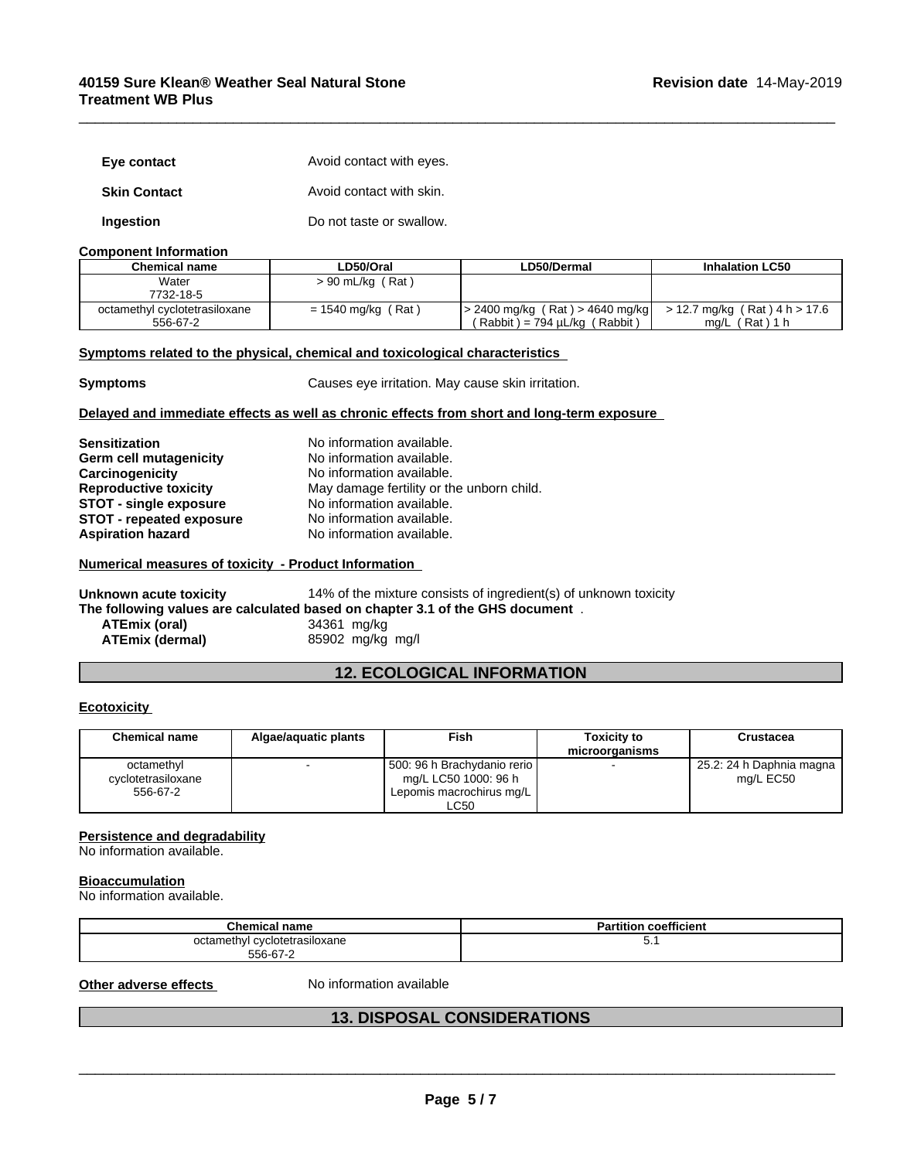## **40159 Sure Klean® Weather Seal Natural Stone Treatment WB Plus**

| Eye contact         | Avoid contact with eyes. |
|---------------------|--------------------------|
| <b>Skin Contact</b> | Avoid contact with skin. |
| Ingestion           | Do not taste or swallow. |

#### **Component Information**

| Chemical name                 | LD50/Oral            | LD50/Dermal                          | <b>Inhalation LC50</b>            |
|-------------------------------|----------------------|--------------------------------------|-----------------------------------|
| Water                         | > 90 mL/kg (Rat)     |                                      |                                   |
| 7732-18-5                     |                      |                                      |                                   |
| octamethyl cyclotetrasiloxane | $= 1540$ mg/kg (Rat) | $\geq$ 2400 mg/kg (Rat) > 4640 mg/kg | $>$ 12.7 mg/kg (Rat) 4 h $>$ 17.6 |
| 556-67-2                      |                      | ( Rabbit ) = 794 uL/kɑ (<br>(Rabbit) | (Rat)1 h<br>ma/L                  |

 $\overline{\phantom{a}}$  ,  $\overline{\phantom{a}}$  ,  $\overline{\phantom{a}}$  ,  $\overline{\phantom{a}}$  ,  $\overline{\phantom{a}}$  ,  $\overline{\phantom{a}}$  ,  $\overline{\phantom{a}}$  ,  $\overline{\phantom{a}}$  ,  $\overline{\phantom{a}}$  ,  $\overline{\phantom{a}}$  ,  $\overline{\phantom{a}}$  ,  $\overline{\phantom{a}}$  ,  $\overline{\phantom{a}}$  ,  $\overline{\phantom{a}}$  ,  $\overline{\phantom{a}}$  ,  $\overline{\phantom{a}}$ 

## **<u>Symptoms related to the physical, chemical and toxicological characteristics</u>**

**Symptoms** Causes eye irritation. May cause skin irritation.

## **Delayed and immediate effects as well as chronic effects from short and long-term exposure**

| <b>Sensitization</b>            | No information available.                 |
|---------------------------------|-------------------------------------------|
| Germ cell mutagenicity          | No information available.                 |
| Carcinogenicity                 | No information available.                 |
| <b>Reproductive toxicity</b>    | May damage fertility or the unborn child. |
| <b>STOT - single exposure</b>   | No information available.                 |
| <b>STOT - repeated exposure</b> | No information available.                 |
| <b>Aspiration hazard</b>        | No information available.                 |

## **Numerical measures of toxicity - Product Information**

| Unknown acute toxicity | 14% of the mixture consists of ingredient(s) of unknown toxicity              |
|------------------------|-------------------------------------------------------------------------------|
|                        | The following values are calculated based on chapter 3.1 of the GHS document. |
| ATEmix (oral)          | 34361 mg/kg                                                                   |
| ATEmix (dermal)        | 85902 mg/kg mg/l                                                              |

## **12. ECOLOGICAL INFORMATION**

## **Ecotoxicity**

| <b>Chemical name</b>                         | Algae/aguatic plants | Fish                                                                                      | Toxicitv to<br>microorganisms | Crustacea                             |
|----------------------------------------------|----------------------|-------------------------------------------------------------------------------------------|-------------------------------|---------------------------------------|
| octamethyl<br>cyclotetrasiloxane<br>556-67-2 |                      | 500: 96 h Brachydanio rerio l<br>ma/L LC50 1000: 96 h<br>Lepomis macrochirus mg/L<br>LC50 |                               | 25.2: 24 h Daphnia magna<br>ma/L EC50 |

## **Persistence and degradability**

No information available.

#### **Bioaccumulation**

No information available.

| hemical nameٽ                 | $- - -$<br><b>Partition coefficient</b> |
|-------------------------------|-----------------------------------------|
| octamethyl cyclotetrasiloxane | $\mathsf{v}$ .                          |
| 556-67-2                      |                                         |

**Other adverse effects** No information available

## **13. DISPOSAL CONSIDERATIONS**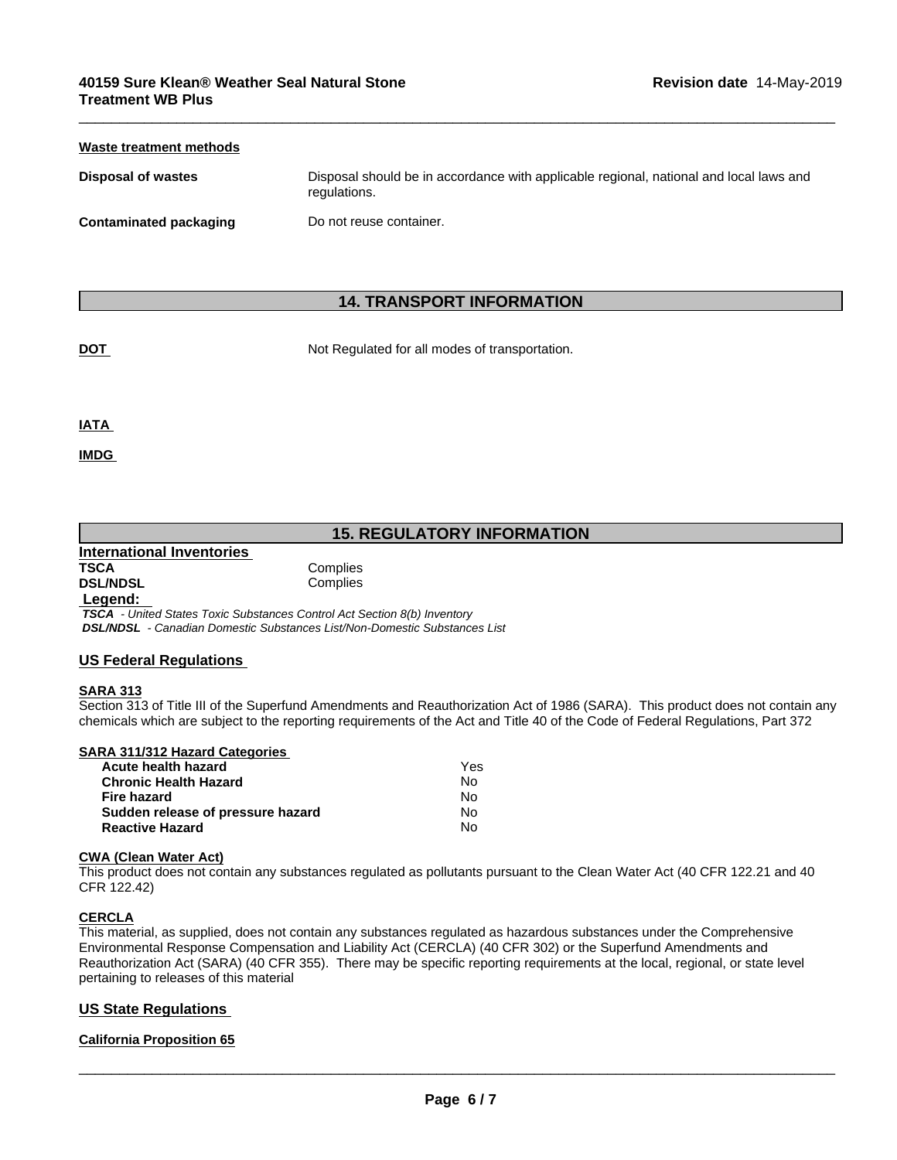| Waste treatment methods       |                                                                                                        |
|-------------------------------|--------------------------------------------------------------------------------------------------------|
| <b>Disposal of wastes</b>     | Disposal should be in accordance with applicable regional, national and local laws and<br>regulations. |
| <b>Contaminated packaging</b> | Do not reuse container.                                                                                |

 $\overline{\phantom{a}}$  ,  $\overline{\phantom{a}}$  ,  $\overline{\phantom{a}}$  ,  $\overline{\phantom{a}}$  ,  $\overline{\phantom{a}}$  ,  $\overline{\phantom{a}}$  ,  $\overline{\phantom{a}}$  ,  $\overline{\phantom{a}}$  ,  $\overline{\phantom{a}}$  ,  $\overline{\phantom{a}}$  ,  $\overline{\phantom{a}}$  ,  $\overline{\phantom{a}}$  ,  $\overline{\phantom{a}}$  ,  $\overline{\phantom{a}}$  ,  $\overline{\phantom{a}}$  ,  $\overline{\phantom{a}}$ 

## **14. TRANSPORT INFORMATION**

**DOT** Not Regulated for all modes of transportation.

**IATA** 

**IMDG** 

## **15. REGULATORY INFORMATION**

| International Inventories |          |
|---------------------------|----------|
| <b>TSCA</b>               | Complies |
| <b>DSL/NDSL</b>           | Complies |
| والممتمدما                |          |

 **Legend:**   *TSCA - United States Toxic Substances Control Act Section 8(b) Inventory DSL/NDSL - Canadian Domestic Substances List/Non-Domestic Substances List*

## **US Federal Regulations**

## **SARA 313**

Section 313 of Title III of the Superfund Amendments and Reauthorization Act of 1986 (SARA). This product does not contain any chemicals which are subject to the reporting requirements of the Act and Title 40 of the Code of Federal Regulations, Part 372

| SARA 311/312 Hazard Categories    |     |  |
|-----------------------------------|-----|--|
| Acute health hazard               | Yes |  |
| <b>Chronic Health Hazard</b>      | No  |  |
| Fire hazard                       | No  |  |
| Sudden release of pressure hazard | No  |  |
| <b>Reactive Hazard</b>            | No  |  |

#### **CWA** (Clean Water Act)

This product does not contain any substances regulated as pollutants pursuant to the Clean Water Act (40 CFR 122.21 and 40 CFR 122.42)

#### **CERCLA**

This material, as supplied, does not contain any substances regulated as hazardous substances under the Comprehensive Environmental Response Compensation and Liability Act (CERCLA) (40 CFR 302) or the Superfund Amendments and Reauthorization Act (SARA) (40 CFR 355). There may be specific reporting requirements at the local, regional, or state level pertaining to releases of this material

## **US State Regulations**

## **California Proposition 65**